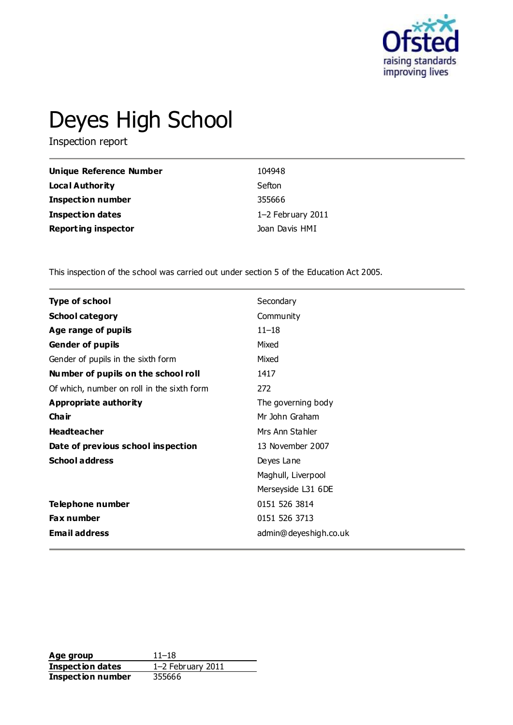

# Deyes High School

Inspection report

| Unique Reference Number    | 104948            |
|----------------------------|-------------------|
| Local Authority            | Sefton            |
| <b>Inspection number</b>   | 355666            |
| <b>Inspection dates</b>    | 1-2 February 2011 |
| <b>Reporting inspector</b> | Joan Davis HMI    |

This inspection of the school was carried out under section 5 of the Education Act 2005.

| <b>Type of school</b>                      | Secondary             |
|--------------------------------------------|-----------------------|
| <b>School category</b>                     | Community             |
| Age range of pupils                        | $11 - 18$             |
| <b>Gender of pupils</b>                    | Mixed                 |
| Gender of pupils in the sixth form         | Mixed                 |
| Number of pupils on the school roll        | 1417                  |
| Of which, number on roll in the sixth form | 272                   |
| <b>Appropriate authority</b>               | The governing body    |
| Cha ir                                     | Mr John Graham        |
| <b>Headteacher</b>                         | Mrs Ann Stahler       |
| Date of previous school inspection         | 13 November 2007      |
| <b>School address</b>                      | Deyes Lane            |
|                                            | Maghull, Liverpool    |
|                                            | Merseyside L31 6DE    |
| Telephone number                           | 0151 526 3814         |
| Fax number                                 | 0151 526 3713         |
| <b>Email address</b>                       | admin@deyeshigh.co.uk |

**Age group** 11–18<br> **Inspection dates** 1–2 February 2011 **Inspection dates Inspection number** 355666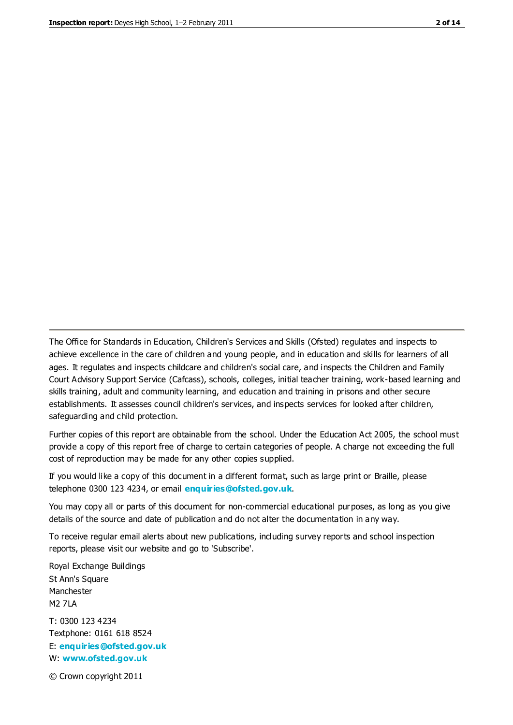The Office for Standards in Education, Children's Services and Skills (Ofsted) regulates and inspects to achieve excellence in the care of children and young people, and in education and skills for learners of all ages. It regulates and inspects childcare and children's social care, and inspects the Children and Family Court Advisory Support Service (Cafcass), schools, colleges, initial teacher training, work-based learning and skills training, adult and community learning, and education and training in prisons and other secure establishments. It assesses council children's services, and inspects services for looked after children, safeguarding and child protection.

Further copies of this report are obtainable from the school. Under the Education Act 2005, the school must provide a copy of this report free of charge to certain categories of people. A charge not exceeding the full cost of reproduction may be made for any other copies supplied.

If you would like a copy of this document in a different format, such as large print or Braille, please telephone 0300 123 4234, or email **[enquiries@ofsted.gov.uk](mailto:enquiries@ofsted.gov.uk)**.

You may copy all or parts of this document for non-commercial educational purposes, as long as you give details of the source and date of publication and do not alter the documentation in any way.

To receive regular email alerts about new publications, including survey reports and school inspection reports, please visit our website and go to 'Subscribe'.

Royal Exchange Buildings St Ann's Square Manchester M2 7LA T: 0300 123 4234 Textphone: 0161 618 8524 E: **[enquiries@ofsted.gov.uk](mailto:enquiries@ofsted.gov.uk)**

W: **[www.ofsted.gov.uk](http://www.ofsted.gov.uk/)**

© Crown copyright 2011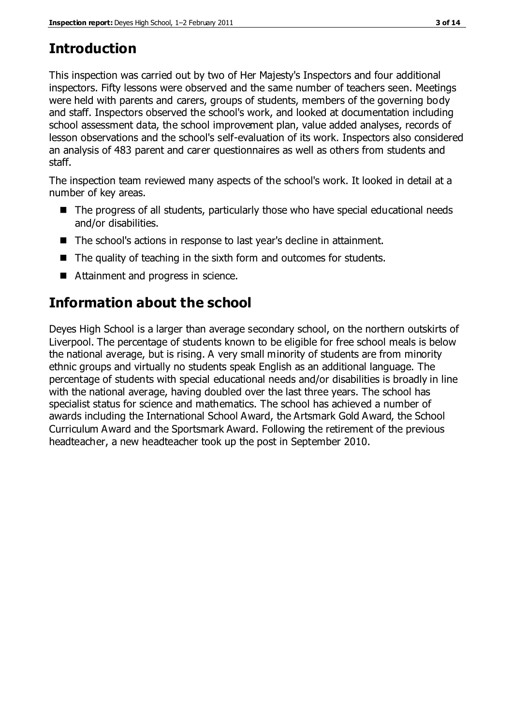### **Introduction**

This inspection was carried out by two of Her Majesty's Inspectors and four additional inspectors. Fifty lessons were observed and the same number of teachers seen. Meetings were held with parents and carers, groups of students, members of the governing body and staff. Inspectors observed the school's work, and looked at documentation including school assessment data, the school improvement plan, value added analyses, records of lesson observations and the school's self-evaluation of its work. Inspectors also considered an analysis of 483 parent and carer questionnaires as well as others from students and staff.

The inspection team reviewed many aspects of the school's work. It looked in detail at a number of key areas.

- The progress of all students, particularly those who have special educational needs and/or disabilities.
- The school's actions in response to last year's decline in attainment.
- $\blacksquare$  The quality of teaching in the sixth form and outcomes for students.
- Attainment and progress in science.

### **Information about the school**

Deyes High School is a larger than average secondary school, on the northern outskirts of Liverpool. The percentage of students known to be eligible for free school meals is below the national average, but is rising. A very small minority of students are from minority ethnic groups and virtually no students speak English as an additional language. The percentage of students with special educational needs and/or disabilities is broadly in line with the national average, having doubled over the last three years. The school has specialist status for science and mathematics. The school has achieved a number of awards including the International School Award, the Artsmark Gold Award, the School Curriculum Award and the Sportsmark Award. Following the retirement of the previous headteacher, a new headteacher took up the post in September 2010.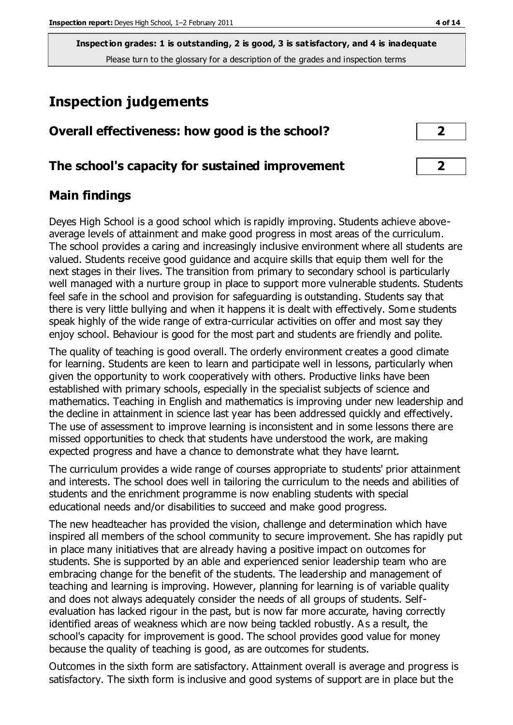### **Inspection judgements**

| Overall effectiveness: how good is the school? |  |
|------------------------------------------------|--|
|                                                |  |
|                                                |  |

**The school's capacity for sustained improvement 2**

### **Main findings**

Deyes High School is a good school which is rapidly improving. Students achieve aboveaverage levels of attainment and make good progress in most areas of the curriculum. The school provides a caring and increasingly inclusive environment where all students are valued. Students receive good guidance and acquire skills that equip them well for the next stages in their lives. The transition from primary to secondary school is particularly well managed with a nurture group in place to support more vulnerable students. Students feel safe in the school and provision for safeguarding is outstanding. Students say that there is very little bullying and when it happens it is dealt with effectively. Some students speak highly of the wide range of extra-curricular activities on offer and most say they enjoy school. Behaviour is good for the most part and students are friendly and polite.

The quality of teaching is good overall. The orderly environment creates a good climate for learning. Students are keen to learn and participate well in lessons, particularly when given the opportunity to work cooperatively with others. Productive links have been established with primary schools, especially in the specialist subjects of science and mathematics. Teaching in English and mathematics is improving under new leadership and the decline in attainment in science last year has been addressed quickly and effectively. The use of assessment to improve learning is inconsistent and in some lessons there are missed opportunities to check that students have understood the work, are making expected progress and have a chance to demonstrate what they have learnt.

The curriculum provides a wide range of courses appropriate to students' prior attainment and interests. The school does well in tailoring the curriculum to the needs and abilities of students and the enrichment programme is now enabling students with special educational needs and/or disabilities to succeed and make good progress.

The new headteacher has provided the vision, challenge and determination which have inspired all members of the school community to secure improvement. She has rapidly put in place many initiatives that are already having a positive impact on outcomes for students. She is supported by an able and experienced senior leadership team who are embracing change for the benefit of the students. The leadership and management of teaching and learning is improving. However, planning for learning is of variable quality and does not always adequately consider the needs of all groups of students. Selfevaluation has lacked rigour in the past, but is now far more accurate, having correctly identified areas of weakness which are now being tackled robustly. A s a result, the school's capacity for improvement is good. The school provides good value for money because the quality of teaching is good, as are outcomes for students.

Outcomes in the sixth form are satisfactory. Attainment overall is average and progress is satisfactory. The sixth form is inclusive and good systems of support are in place but the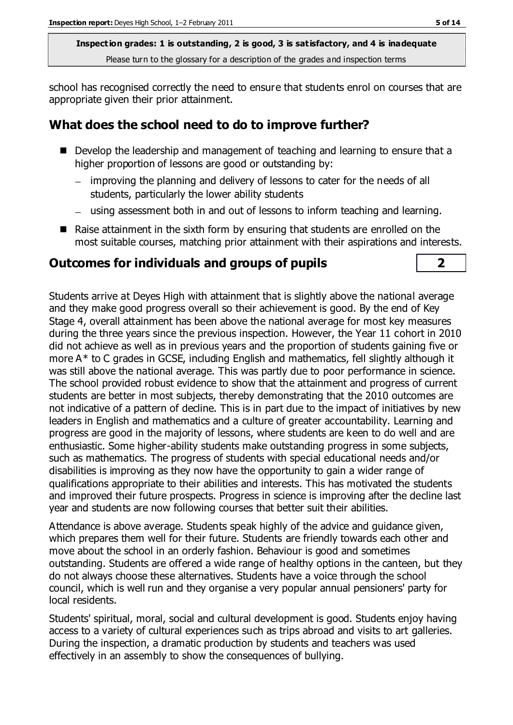school has recognised correctly the need to ensure that students enrol on courses that are appropriate given their prior attainment.

### **What does the school need to do to improve further?**

- Develop the leadership and management of teaching and learning to ensure that a higher proportion of lessons are good or outstanding by:
	- improving the planning and delivery of lessons to cater for the needs of all students, particularly the lower ability students
	- using assessment both in and out of lessons to inform teaching and learning.
- Raise attainment in the sixth form by ensuring that students are enrolled on the most suitable courses, matching prior attainment with their aspirations and interests.

### **Outcomes for individuals and groups of pupils 2**

Students arrive at Deyes High with attainment that is slightly above the national average and they make good progress overall so their achievement is good. By the end of Key Stage 4, overall attainment has been above the national average for most key measures during the three years since the previous inspection. However, the Year 11 cohort in 2010 did not achieve as well as in previous years and the proportion of students gaining five or more A\* to C grades in GCSE, including English and mathematics, fell slightly although it was still above the national average. This was partly due to poor performance in science. The school provided robust evidence to show that the attainment and progress of current students are better in most subjects, thereby demonstrating that the 2010 outcomes are not indicative of a pattern of decline. This is in part due to the impact of initiatives by new leaders in English and mathematics and a culture of greater accountability. Learning and progress are good in the majority of lessons, where students are keen to do well and are enthusiastic. Some higher-ability students make outstanding progress in some subjects, such as mathematics. The progress of students with special educational needs and/or disabilities is improving as they now have the opportunity to gain a wider range of qualifications appropriate to their abilities and interests. This has motivated the students and improved their future prospects. Progress in science is improving after the decline last year and students are now following courses that better suit their abilities.

Attendance is above average. Students speak highly of the advice and guidance given, which prepares them well for their future. Students are friendly towards each other and move about the school in an orderly fashion. Behaviour is good and sometimes outstanding. Students are offered a wide range of healthy options in the canteen, but they do not always choose these alternatives. Students have a voice through the school council, which is well run and they organise a very popular annual pensioners' party for local residents.

Students' spiritual, moral, social and cultural development is good. Students enjoy having access to a variety of cultural experiences such as trips abroad and visits to art galleries. During the inspection, a dramatic production by students and teachers was used effectively in an assembly to show the consequences of bullying.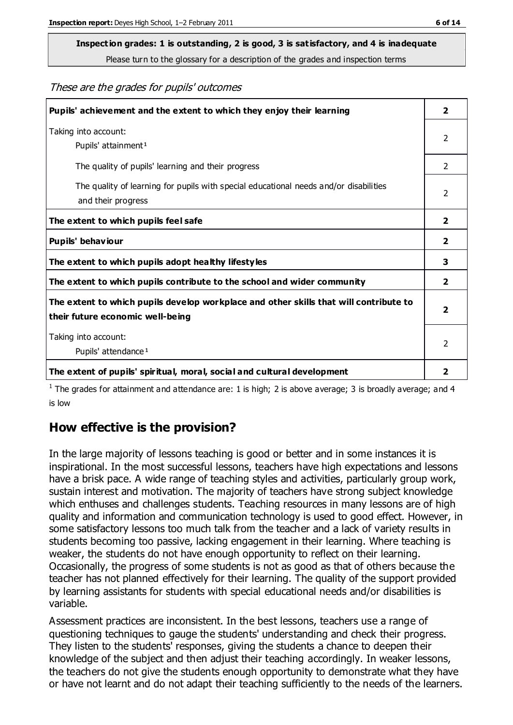## **Inspection grades: 1 is outstanding, 2 is good, 3 is satisfactory, and 4 is inadequate**

Please turn to the glossary for a description of the grades and inspection terms

These are the grades for pupils' outcomes

| Pupils' achievement and the extent to which they enjoy their learning                                                     | $\overline{2}$          |
|---------------------------------------------------------------------------------------------------------------------------|-------------------------|
| Taking into account:<br>Pupils' attainment <sup>1</sup>                                                                   | $\mathcal{P}$           |
| The quality of pupils' learning and their progress                                                                        | $\mathcal{P}$           |
| The quality of learning for pupils with special educational needs and/or disabilities<br>and their progress               | $\overline{2}$          |
| The extent to which pupils feel safe                                                                                      | $\overline{2}$          |
| Pupils' behaviour                                                                                                         | 2                       |
| The extent to which pupils adopt healthy lifestyles                                                                       | 3                       |
| The extent to which pupils contribute to the school and wider community                                                   | $\overline{2}$          |
| The extent to which pupils develop workplace and other skills that will contribute to<br>their future economic well-being | $\overline{\mathbf{2}}$ |
| Taking into account:<br>Pupils' attendance <sup>1</sup>                                                                   | $\mathcal{P}$           |
| The extent of pupils' spiritual, moral, social and cultural development                                                   | 2                       |

<sup>1</sup> The grades for attainment and attendance are: 1 is high; 2 is above average; 3 is broadly average; and 4 is low

### **How effective is the provision?**

In the large majority of lessons teaching is good or better and in some instances it is inspirational. In the most successful lessons, teachers have high expectations and lessons have a brisk pace. A wide range of teaching styles and activities, particularly group work, sustain interest and motivation. The majority of teachers have strong subject knowledge which enthuses and challenges students. Teaching resources in many lessons are of high quality and information and communication technology is used to good effect. However, in some satisfactory lessons too much talk from the teacher and a lack of variety results in students becoming too passive, lacking engagement in their learning. Where teaching is weaker, the students do not have enough opportunity to reflect on their learning. Occasionally, the progress of some students is not as good as that of others because the teacher has not planned effectively for their learning. The quality of the support provided by learning assistants for students with special educational needs and/or disabilities is variable.

Assessment practices are inconsistent. In the best lessons, teachers use a range of questioning techniques to gauge the students' understanding and check their progress. They listen to the students' responses, giving the students a chance to deepen their knowledge of the subject and then adjust their teaching accordingly. In weaker lessons, the teachers do not give the students enough opportunity to demonstrate what they have or have not learnt and do not adapt their teaching sufficiently to the needs of the learners.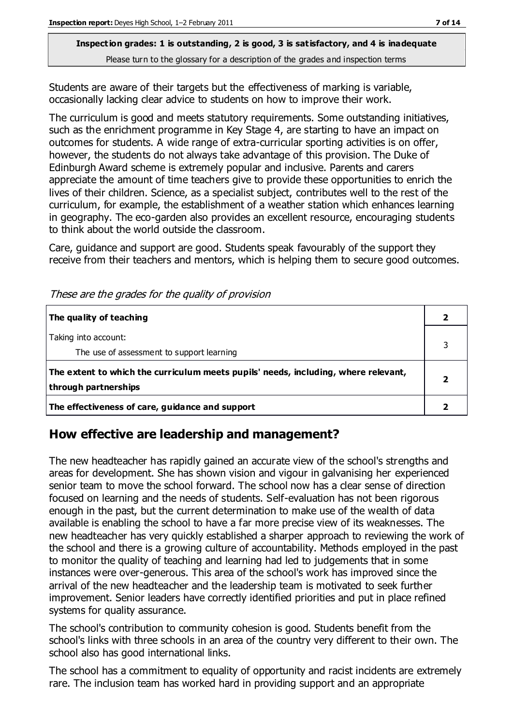Students are aware of their targets but the effectiveness of marking is variable, occasionally lacking clear advice to students on how to improve their work.

The curriculum is good and meets statutory requirements. Some outstanding initiatives, such as the enrichment programme in Key Stage 4, are starting to have an impact on outcomes for students. A wide range of extra-curricular sporting activities is on offer, however, the students do not always take advantage of this provision. The Duke of Edinburgh Award scheme is extremely popular and inclusive. Parents and carers appreciate the amount of time teachers give to provide these opportunities to enrich the lives of their children. Science, as a specialist subject, contributes well to the rest of the curriculum, for example, the establishment of a weather station which enhances learning in geography. The eco-garden also provides an excellent resource, encouraging students to think about the world outside the classroom.

Care, guidance and support are good. Students speak favourably of the support they receive from their teachers and mentors, which is helping them to secure good outcomes.

| The quality of teaching                                                                                    |  |
|------------------------------------------------------------------------------------------------------------|--|
| Taking into account:<br>The use of assessment to support learning                                          |  |
| The extent to which the curriculum meets pupils' needs, including, where relevant,<br>through partnerships |  |
| The effectiveness of care, guidance and support                                                            |  |

These are the grades for the quality of provision

### **How effective are leadership and management?**

The new headteacher has rapidly gained an accurate view of the school's strengths and areas for development. She has shown vision and vigour in galvanising her experienced senior team to move the school forward. The school now has a clear sense of direction focused on learning and the needs of students. Self-evaluation has not been rigorous enough in the past, but the current determination to make use of the wealth of data available is enabling the school to have a far more precise view of its weaknesses. The new headteacher has very quickly established a sharper approach to reviewing the work of the school and there is a growing culture of accountability. Methods employed in the past to monitor the quality of teaching and learning had led to judgements that in some instances were over-generous. This area of the school's work has improved since the arrival of the new headteacher and the leadership team is motivated to seek further improvement. Senior leaders have correctly identified priorities and put in place refined systems for quality assurance.

The school's contribution to community cohesion is good. Students benefit from the school's links with three schools in an area of the country very different to their own. The school also has good international links.

The school has a commitment to equality of opportunity and racist incidents are extremely rare. The inclusion team has worked hard in providing support and an appropriate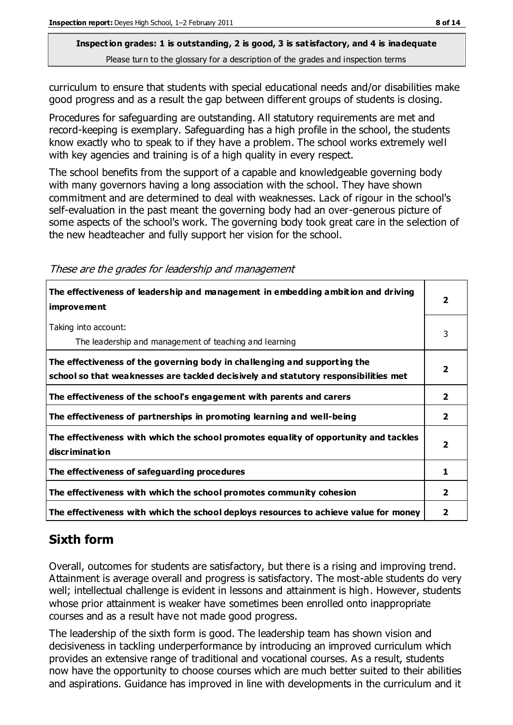#### **Inspection grades: 1 is outstanding, 2 is good, 3 is satisfactory, and 4 is inadequate**

Please turn to the glossary for a description of the grades and inspection terms

curriculum to ensure that students with special educational needs and/or disabilities make good progress and as a result the gap between different groups of students is closing.

Procedures for safeguarding are outstanding. All statutory requirements are met and record-keeping is exemplary. Safeguarding has a high profile in the school, the students know exactly who to speak to if they have a problem. The school works extremely well with key agencies and training is of a high quality in every respect.

The school benefits from the support of a capable and knowledgeable governing body with many governors having a long association with the school. They have shown commitment and are determined to deal with weaknesses. Lack of rigour in the school's self-evaluation in the past meant the governing body had an over-generous picture of some aspects of the school's work. The governing body took great care in the selection of the new headteacher and fully support her vision for the school.

These are the grades for leadership and management

| The effectiveness of leadership and management in embedding ambition and driving<br><i>improvement</i>                                                           |                |
|------------------------------------------------------------------------------------------------------------------------------------------------------------------|----------------|
| Taking into account:<br>The leadership and management of teaching and learning                                                                                   | 3              |
| The effectiveness of the governing body in challenging and supporting the<br>school so that weaknesses are tackled decisively and statutory responsibilities met | 2              |
| The effectiveness of the school's engagement with parents and carers                                                                                             | $\overline{2}$ |
| The effectiveness of partnerships in promoting learning and well-being                                                                                           | 2              |
| The effectiveness with which the school promotes equality of opportunity and tackles<br>discrimination                                                           | 2              |
| The effectiveness of safeguarding procedures                                                                                                                     | 1              |
| The effectiveness with which the school promotes community cohesion                                                                                              | $\overline{2}$ |
| The effectiveness with which the school deploys resources to achieve value for money                                                                             | 2              |

### **Sixth form**

Overall, outcomes for students are satisfactory, but there is a rising and improving trend. Attainment is average overall and progress is satisfactory. The most-able students do very well; intellectual challenge is evident in lessons and attainment is high. However, students whose prior attainment is weaker have sometimes been enrolled onto inappropriate courses and as a result have not made good progress.

The leadership of the sixth form is good. The leadership team has shown vision and decisiveness in tackling underperformance by introducing an improved curriculum which provides an extensive range of traditional and vocational courses. As a result, students now have the opportunity to choose courses which are much better suited to their abilities and aspirations. Guidance has improved in line with developments in the curriculum and it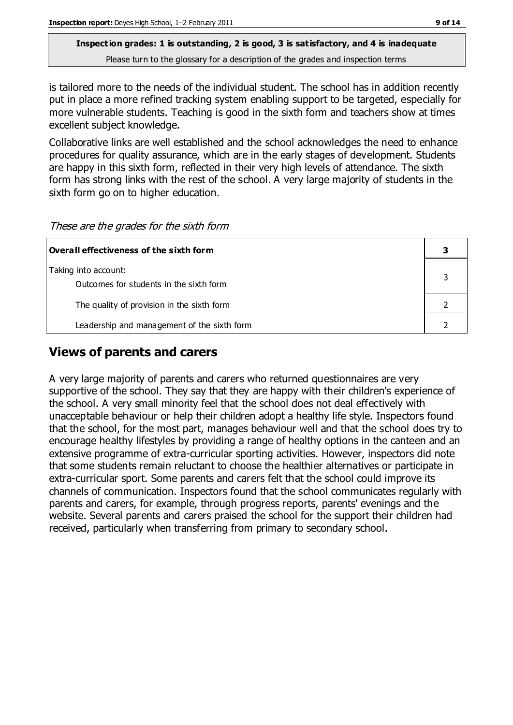is tailored more to the needs of the individual student. The school has in addition recently put in place a more refined tracking system enabling support to be targeted, especially for more vulnerable students. Teaching is good in the sixth form and teachers show at times excellent subject knowledge.

Collaborative links are well established and the school acknowledges the need to enhance procedures for quality assurance, which are in the early stages of development. Students are happy in this sixth form, reflected in their very high levels of attendance. The sixth form has strong links with the rest of the school. A very large majority of students in the sixth form go on to higher education.

| These are the grades for the sixth form |  |  |  |
|-----------------------------------------|--|--|--|
|-----------------------------------------|--|--|--|

| Overall effectiveness of the sixth form     |  |
|---------------------------------------------|--|
| Taking into account:                        |  |
| Outcomes for students in the sixth form     |  |
| The quality of provision in the sixth form  |  |
| Leadership and management of the sixth form |  |

### **Views of parents and carers**

A very large majority of parents and carers who returned questionnaires are very supportive of the school. They say that they are happy with their children's experience of the school. A very small minority feel that the school does not deal effectively with unacceptable behaviour or help their children adopt a healthy life style. Inspectors found that the school, for the most part, manages behaviour well and that the school does try to encourage healthy lifestyles by providing a range of healthy options in the canteen and an extensive programme of extra-curricular sporting activities. However, inspectors did note that some students remain reluctant to choose the healthier alternatives or participate in extra-curricular sport. Some parents and carers felt that the school could improve its channels of communication. Inspectors found that the school communicates regularly with parents and carers, for example, through progress reports, parents' evenings and the website. Several parents and carers praised the school for the support their children had received, particularly when transferring from primary to secondary school.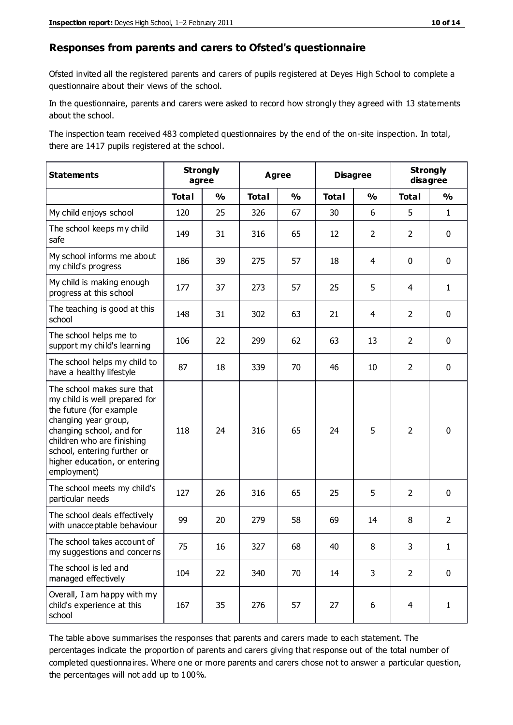#### **Responses from parents and carers to Ofsted's questionnaire**

Ofsted invited all the registered parents and carers of pupils registered at Deyes High School to complete a questionnaire about their views of the school.

In the questionnaire, parents and carers were asked to record how strongly they agreed with 13 statements about the school.

The inspection team received 483 completed questionnaires by the end of the on-site inspection. In total, there are 1417 pupils registered at the school.

| <b>Statements</b>                                                                                                                                                                                                                                       | <b>Strongly</b><br>agree |               | <b>Agree</b> |               | <b>Disagree</b> |                | <b>Strongly</b><br>disagree |                |
|---------------------------------------------------------------------------------------------------------------------------------------------------------------------------------------------------------------------------------------------------------|--------------------------|---------------|--------------|---------------|-----------------|----------------|-----------------------------|----------------|
|                                                                                                                                                                                                                                                         | <b>Total</b>             | $\frac{1}{2}$ | <b>Total</b> | $\frac{0}{0}$ | <b>Total</b>    | $\frac{1}{2}$  | <b>Total</b>                | $\frac{0}{0}$  |
| My child enjoys school                                                                                                                                                                                                                                  | 120                      | 25            | 326          | 67            | 30              | 6              | 5                           | $\mathbf{1}$   |
| The school keeps my child<br>safe                                                                                                                                                                                                                       | 149                      | 31            | 316          | 65            | 12              | $\overline{2}$ | $\overline{2}$              | $\mathbf 0$    |
| My school informs me about<br>my child's progress                                                                                                                                                                                                       | 186                      | 39            | 275          | 57            | 18              | $\overline{4}$ | $\mathbf 0$                 | $\mathbf 0$    |
| My child is making enough<br>progress at this school                                                                                                                                                                                                    | 177                      | 37            | 273          | 57            | 25              | 5              | 4                           | $\mathbf{1}$   |
| The teaching is good at this<br>school                                                                                                                                                                                                                  | 148                      | 31            | 302          | 63            | 21              | $\overline{4}$ | $\overline{2}$              | $\mathbf 0$    |
| The school helps me to<br>support my child's learning                                                                                                                                                                                                   | 106                      | 22            | 299          | 62            | 63              | 13             | $\overline{2}$              | $\mathbf 0$    |
| The school helps my child to<br>have a healthy lifestyle                                                                                                                                                                                                | 87                       | 18            | 339          | 70            | 46              | 10             | $\overline{2}$              | $\mathbf 0$    |
| The school makes sure that<br>my child is well prepared for<br>the future (for example<br>changing year group,<br>changing school, and for<br>children who are finishing<br>school, entering further or<br>higher education, or entering<br>employment) | 118                      | 24            | 316          | 65            | 24              | 5              | $\overline{2}$              | $\mathbf 0$    |
| The school meets my child's<br>particular needs                                                                                                                                                                                                         | 127                      | 26            | 316          | 65            | 25              | 5              | $\overline{2}$              | $\mathbf 0$    |
| The school deals effectively<br>with unacceptable behaviour                                                                                                                                                                                             | 99                       | 20            | 279          | 58            | 69              | 14             | 8                           | $\overline{2}$ |
| The school takes account of<br>my suggestions and concerns                                                                                                                                                                                              | 75                       | 16            | 327          | 68            | 40              | 8              | 3                           | 1              |
| The school is led and<br>managed effectively                                                                                                                                                                                                            | 104                      | 22            | 340          | 70            | 14              | 3              | $\overline{2}$              | $\mathbf 0$    |
| Overall, I am happy with my<br>child's experience at this<br>school                                                                                                                                                                                     | 167                      | 35            | 276          | 57            | 27              | 6              | 4                           | $\mathbf{1}$   |

The table above summarises the responses that parents and carers made to each statement. The percentages indicate the proportion of parents and carers giving that response out of the total number of completed questionnaires. Where one or more parents and carers chose not to answer a particular question, the percentages will not add up to 100%.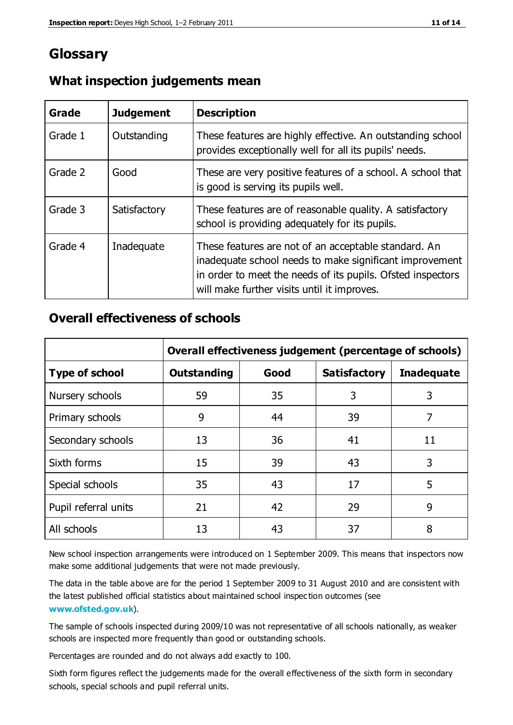### **Glossary**

| Grade   | <b>Judgement</b> | <b>Description</b>                                                                                                                                                                                                            |
|---------|------------------|-------------------------------------------------------------------------------------------------------------------------------------------------------------------------------------------------------------------------------|
| Grade 1 | Outstanding      | These features are highly effective. An outstanding school<br>provides exceptionally well for all its pupils' needs.                                                                                                          |
| Grade 2 | Good             | These are very positive features of a school. A school that<br>is good is serving its pupils well.                                                                                                                            |
| Grade 3 | Satisfactory     | These features are of reasonable quality. A satisfactory<br>school is providing adequately for its pupils.                                                                                                                    |
| Grade 4 | Inadequate       | These features are not of an acceptable standard. An<br>inadequate school needs to make significant improvement<br>in order to meet the needs of its pupils. Ofsted inspectors<br>will make further visits until it improves. |

#### **What inspection judgements mean**

### **Overall effectiveness of schools**

|                       | Overall effectiveness judgement (percentage of schools) |      |                     |                   |
|-----------------------|---------------------------------------------------------|------|---------------------|-------------------|
| <b>Type of school</b> | <b>Outstanding</b>                                      | Good | <b>Satisfactory</b> | <b>Inadequate</b> |
| Nursery schools       | 59                                                      | 35   | 3                   | 3                 |
| Primary schools       | 9                                                       | 44   | 39                  | 7                 |
| Secondary schools     | 13                                                      | 36   | 41                  | 11                |
| Sixth forms           | 15                                                      | 39   | 43                  | 3                 |
| Special schools       | 35                                                      | 43   | 17                  | 5                 |
| Pupil referral units  | 21                                                      | 42   | 29                  | 9                 |
| All schools           | 13                                                      | 43   | 37                  | 8                 |

New school inspection arrangements were introduced on 1 September 2009. This means that inspectors now make some additional judgements that were not made previously.

The data in the table above are for the period 1 September 2009 to 31 August 2010 and are consistent with the latest published official statistics about maintained school inspec tion outcomes (see **[www.ofsted.gov.uk](http://www.ofsted.gov.uk/)**).

The sample of schools inspected during 2009/10 was not representative of all schools nationally, as weaker schools are inspected more frequently than good or outstanding schools.

Percentages are rounded and do not always add exactly to 100.

Sixth form figures reflect the judgements made for the overall effectiveness of the sixth form in secondary schools, special schools and pupil referral units.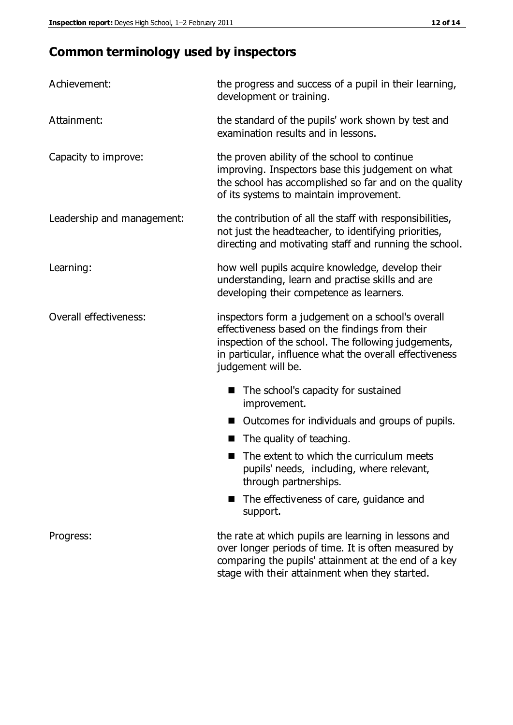### **Common terminology used by inspectors**

| Achievement:               | the progress and success of a pupil in their learning,<br>development or training.                                                                                                                                                          |  |  |
|----------------------------|---------------------------------------------------------------------------------------------------------------------------------------------------------------------------------------------------------------------------------------------|--|--|
| Attainment:                | the standard of the pupils' work shown by test and<br>examination results and in lessons.                                                                                                                                                   |  |  |
| Capacity to improve:       | the proven ability of the school to continue<br>improving. Inspectors base this judgement on what<br>the school has accomplished so far and on the quality<br>of its systems to maintain improvement.                                       |  |  |
| Leadership and management: | the contribution of all the staff with responsibilities,<br>not just the headteacher, to identifying priorities,<br>directing and motivating staff and running the school.                                                                  |  |  |
| Learning:                  | how well pupils acquire knowledge, develop their<br>understanding, learn and practise skills and are<br>developing their competence as learners.                                                                                            |  |  |
| Overall effectiveness:     | inspectors form a judgement on a school's overall<br>effectiveness based on the findings from their<br>inspection of the school. The following judgements,<br>in particular, influence what the overall effectiveness<br>judgement will be. |  |  |
|                            | The school's capacity for sustained<br>improvement.                                                                                                                                                                                         |  |  |
|                            | Outcomes for individuals and groups of pupils.                                                                                                                                                                                              |  |  |
|                            | The quality of teaching.                                                                                                                                                                                                                    |  |  |
|                            | The extent to which the curriculum meets<br>pupils' needs, including, where relevant,<br>through partnerships.                                                                                                                              |  |  |
|                            | The effectiveness of care, guidance and<br>support.                                                                                                                                                                                         |  |  |
| Progress:                  | the rate at which pupils are learning in lessons and<br>over longer periods of time. It is often measured by<br>comparing the pupils' attainment at the end of a key                                                                        |  |  |

stage with their attainment when they started.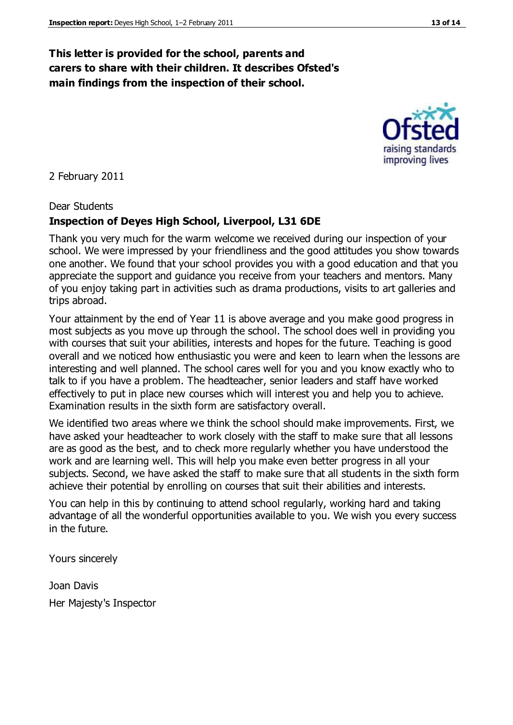#### **This letter is provided for the school, parents and carers to share with their children. It describes Ofsted's main findings from the inspection of their school.**

2 February 2011

#### Dear Students

#### **Inspection of Deyes High School, Liverpool, L31 6DE**

Thank you very much for the warm welcome we received during our inspection of your school. We were impressed by your friendliness and the good attitudes you show towards one another. We found that your school provides you with a good education and that you appreciate the support and guidance you receive from your teachers and mentors. Many of you enjoy taking part in activities such as drama productions, visits to art galleries and trips abroad.

Your attainment by the end of Year 11 is above average and you make good progress in most subjects as you move up through the school. The school does well in providing you with courses that suit your abilities, interests and hopes for the future. Teaching is good overall and we noticed how enthusiastic you were and keen to learn when the lessons are interesting and well planned. The school cares well for you and you know exactly who to talk to if you have a problem. The headteacher, senior leaders and staff have worked effectively to put in place new courses which will interest you and help you to achieve. Examination results in the sixth form are satisfactory overall.

We identified two areas where we think the school should make improvements. First, we have asked your headteacher to work closely with the staff to make sure that all lessons are as good as the best, and to check more regularly whether you have understood the work and are learning well. This will help you make even better progress in all your subjects. Second, we have asked the staff to make sure that all students in the sixth form achieve their potential by enrolling on courses that suit their abilities and interests.

You can help in this by continuing to attend school regularly, working hard and taking advantage of all the wonderful opportunities available to you. We wish you every success in the future.

Yours sincerely

Joan Davis Her Majesty's Inspector